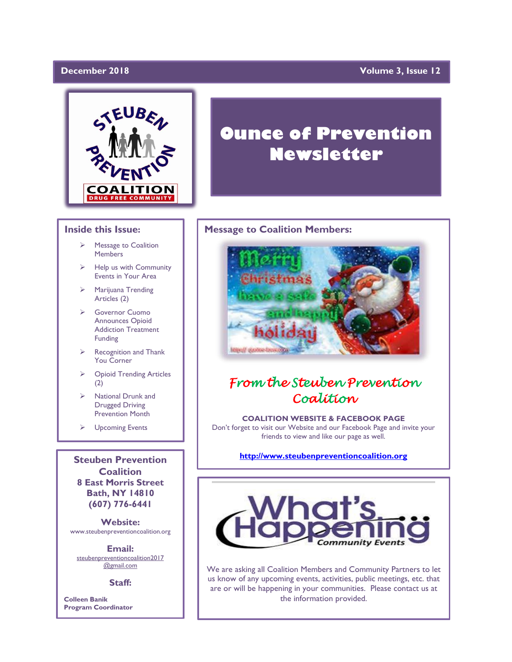## December 2018

## **Volume 3, Issue 12**



### **Inside this Issue:**

- ➢ Message to Coalition Members
- Help us with Community Events in Your Area
- ➢ Marijuana Trending Articles (2)
- ➢ Governor Cuomo Announces Opioid Addiction Treatment Funding
- $\triangleright$  Recognition and Thank You Corner
- ➢ Opioid Trending Articles (2)
- ➢ National Drunk and Drugged Driving Prevention Month
- ➢ Upcoming Events

**Steuben Prevention Coalition 8 East Morris Street Bath, NY 14810 (607) 776-6441**

**Website:**  www.steubenpreventioncoalition.org

**Email:**  steubenpreventioncoalition2017 @gmail.com

**Staff:**

**Colleen Banik Program Coordinator**

# **Ounce of Prevention Newsletter**

### **Message to Coalition Members:**



# *From the Steuben Prevention Coalition*

**COALITION WEBSITE & FACEBOOK PAGE** Don't forget to visit our Website and our Facebook Page and invite your friends to view and like our page as well.

**[http://www.steubenpreventioncoalition.org](http://www.steubenpreventioncoalition.org/)**



We are asking all Coalition Members and Community Partners to let us know of any upcoming events, activities, public meetings, etc. that are or will be happening in your communities. Please contact us at the information provided.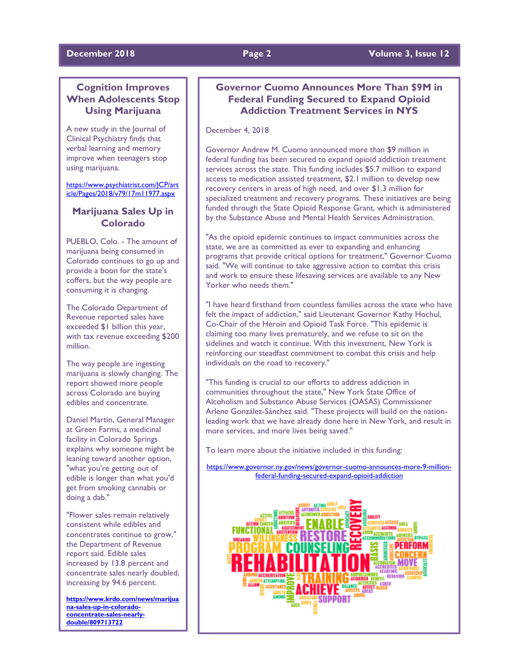### **December 2018 Page 2 Volume 3, Issue 12**

# **Cognition Improves When Adolescents Stop Using Marijuana**

A new study in the Journal of Clinical Psychiatry finds that verbal learning and memory improve when teenagers stop using marijuana.

[https://www.psychiatrist.com/JCP/art](https://www.psychiatrist.com/JCP/article/Pages/2018/v79/17m11977.aspx) [icle/Pages/2018/v79/17m11977.aspx](https://www.psychiatrist.com/JCP/article/Pages/2018/v79/17m11977.aspx)

# **Marijuana Sales Up in Colorado**

PUEBLO, Colo. - The amount of marijuana being consumed in Colorado continues to go up and provide a boon for the state's coffers, but the way people are consuming it is changing.

The Colorado Department of Revenue reported sales have exceeded \$1 billion this year, with tax revenue exceeding \$200 million.

The way people are ingesting marijuana is slowly changing. The report showed more people across Colorado are buying edibles and concentrate.

Daniel Martin, General Manager at Green Farms, a medicinal facility in Colorado Springs explains why someone might be leaning toward another option, "what you're getting out of edible is longer than what you'd get from smoking cannabis or doing a dab."

"Flower sales remain relatively consistent while edibles and concentrates continue to grow," the Department of Revenue report said. Edible sales increased by 13.8 percent and concentrate sales nearly doubled, increasing by 94.6 percent.

**[https://www.krdo.com/news/marijua](https://www.krdo.com/news/marijuana-sales-up-in-colorado-concentrate-sales-nearly-double/809713722) [na-sales-up-in-colorado](https://www.krdo.com/news/marijuana-sales-up-in-colorado-concentrate-sales-nearly-double/809713722)[concentrate-sales-nearly](https://www.krdo.com/news/marijuana-sales-up-in-colorado-concentrate-sales-nearly-double/809713722)[double/809713722](https://www.krdo.com/news/marijuana-sales-up-in-colorado-concentrate-sales-nearly-double/809713722)**

# **Governor Cuomo Announces More Than \$9M in Federal Funding Secured to Expand Opioid Addiction Treatment Services in NYS**

December 4, 2018

Governor Andrew M. Cuomo announced more than \$9 million in federal funding has been secured to expand opioid addiction treatment services across the state. This funding includes \$5.7 million to expand access to medication assisted treatment, \$2.1 million to develop new recovery centers in areas of high need, and over \$1.3 million for specialized treatment and recovery programs. These initiatives are being funded through the State Opioid Response Grant, which is administered by the Substance Abuse and Mental Health Services Administration.

"As the opioid epidemic continues to impact communities across the state, we are as committed as ever to expanding and enhancing programs that provide critical options for treatment," Governor Cuomo said. "We will continue to take aggressive action to combat this crisis and work to ensure these lifesaving services are available to any New Yorker who needs them."

"I have heard firsthand from countless families across the state who have felt the impact of addiction," said Lieutenant Governor Kathy Hochul, Co-Chair of the Heroin and Opioid Task Force. "This epidemic is claiming too many lives prematurely, and we refuse to sit on the sidelines and watch it continue. With this investment, New York is reinforcing our steadfast commitment to combat this crisis and help individuals on the road to recovery."

"This funding is crucial to our efforts to address addiction in communities throughout the state," New York State Office of Alcoholism and Substance Abuse Services (OASAS) Commissioner Arlene González-Sánchez said. "These projects will build on the nationleading work that we have already done here in New York, and result in more services, and more lives being saved."

To learn more about the initiative included in this funding:

[https://www.governor.ny.gov/news/governor-cuomo-announces-more-9-million](https://www.governor.ny.gov/news/governor-cuomo-announces-more-9-million-federal-funding-secured-expand-opioid-addiction)[federal-funding-secured-expand-opioid-addiction](https://www.governor.ny.gov/news/governor-cuomo-announces-more-9-million-federal-funding-secured-expand-opioid-addiction)

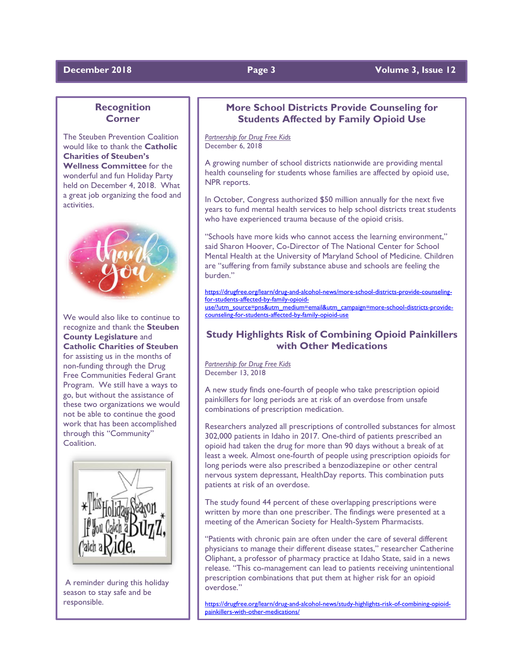# **December** 2018 **Page 3 Page 3 Page 12 Volume 3, Issue 12**

# **Recognition Corner**

The Steuben Prevention Coalition would like to thank the **Catholic Charities of Steuben's Wellness Committee** for the wonderful and fun Holiday Party held on December 4, 2018. What a great job organizing the food and activities.



We would also like to continue to recognize and thank the **Steuben County Legislature** and **Catholic Charities of Steuben** for assisting us in the months of non-funding through the Drug Free Communities Federal Grant Program. We still have a ways to go, but without the assistance of these two organizations we would not be able to continue the good work that has been accomplished through this "Community" Coalition.



A reminder during this holiday season to stay safe and be responsible.

# **More School Districts Provide Counseling for Students Affected by Family Opioid Use**

*Partnership for Drug Free Kids* December 6, 2018

A growing number of school districts nationwide are providing mental health counseling for students whose families are affected by opioid use, NPR reports.

In October, Congress authorized \$50 million annually for the next five years to fund mental health services to help school districts treat students who have experienced trauma because of the opioid crisis.

"Schools have more kids who cannot access the learning environment," said Sharon Hoover, Co-Director of The National Center for School Mental Health at the University of Maryland School of Medicine. Children are "suffering from family substance abuse and schools are feeling the burden."

[https://drugfree.org/learn/drug-and-alcohol-news/more-school-districts-provide-counseling](https://drugfree.org/learn/drug-and-alcohol-news/more-school-districts-provide-counseling-for-students-affected-by-family-opioid-use/?utm_source=pns&utm_medium=email&utm_campaign=more-school-districts-provide-counseling-for-students-affected-by-family-opioid-use)[for-students-affected-by-family-opioid](https://drugfree.org/learn/drug-and-alcohol-news/more-school-districts-provide-counseling-for-students-affected-by-family-opioid-use/?utm_source=pns&utm_medium=email&utm_campaign=more-school-districts-provide-counseling-for-students-affected-by-family-opioid-use)[use/?utm\\_source=pns&utm\\_medium=email&utm\\_campaign=more-school-districts-provide](https://drugfree.org/learn/drug-and-alcohol-news/more-school-districts-provide-counseling-for-students-affected-by-family-opioid-use/?utm_source=pns&utm_medium=email&utm_campaign=more-school-districts-provide-counseling-for-students-affected-by-family-opioid-use)[counseling-for-students-affected-by-family-opioid-use](https://drugfree.org/learn/drug-and-alcohol-news/more-school-districts-provide-counseling-for-students-affected-by-family-opioid-use/?utm_source=pns&utm_medium=email&utm_campaign=more-school-districts-provide-counseling-for-students-affected-by-family-opioid-use)

# **Study Highlights Risk of Combining Opioid Painkillers with Other Medications**

*Partnership for Drug Free Kids* December 13, 2018

A new study finds one-fourth of people who take prescription opioid painkillers for long periods are at risk of an overdose from unsafe combinations of prescription medication.

Researchers analyzed all prescriptions of controlled substances for almost 302,000 patients in Idaho in 2017. One-third of patients prescribed an opioid had taken the drug for more than 90 days without a break of at least a week. Almost one-fourth of people using prescription opioids for long periods were also prescribed a benzodiazepine or other central nervous system depressant, HealthDay reports. This combination puts patients at risk of an overdose.

The study found 44 percent of these overlapping prescriptions were written by more than one prescriber. The findings were presented at a meeting of the American Society for Health-System Pharmacists.

"Patients with chronic pain are often under the care of several different physicians to manage their different disease states," researcher Catherine Oliphant, a professor of pharmacy practice at Idaho State, said in a news release. "This co-management can lead to patients receiving unintentional prescription combinations that put them at higher risk for an opioid overdose."

[https://drugfree.org/learn/drug-and-alcohol-news/study-highlights-risk-of-combining-opioid](https://drugfree.org/learn/drug-and-alcohol-news/study-highlights-risk-of-combining-opioid-painkillers-with-other-medications/)[painkillers-with-other-medications/](https://drugfree.org/learn/drug-and-alcohol-news/study-highlights-risk-of-combining-opioid-painkillers-with-other-medications/)